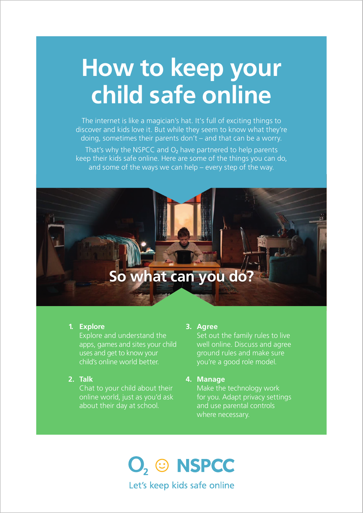# How to keep your child safe online

The internet is like a magician's hat. It's full of exciting things to discover and kids love it. But while they seem to know what they're doing, sometimes their parents don't – and that can be a worry.

That's why the NSPCC and  $O<sub>2</sub>$  have partnered to help parents keep their kids safe online. Here are some of the things you can do, and some of the ways we can help – every step of the way.

# So what can you do?

### 1. Explore

Explore and understand the apps, games and sites your child uses and get to know your child's online world better.

2. Talk

Chat to your child about their online world, just as you'd ask about their day at school.

#### 3. Agree

Set out the family rules to live well online. Discuss and agree ground rules and make sure you're a good role model.

### 4. Manage

Make the technology work for you. Adapt privacy settings and use parental controls where necessary.